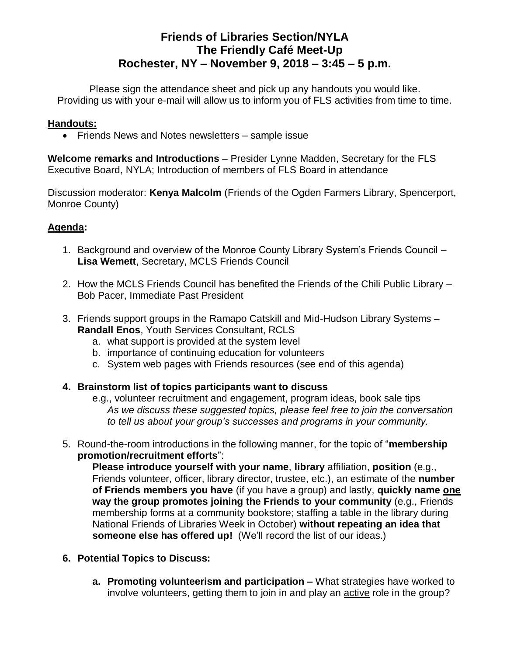# **Friends of Libraries Section/NYLA The Friendly Café Meet-Up Rochester, NY – November 9, 2018 – 3:45 – 5 p.m.**

Please sign the attendance sheet and pick up any handouts you would like. Providing us with your e-mail will allow us to inform you of FLS activities from time to time.

#### **Handouts:**

• Friends News and Notes newsletters – sample issue

**Welcome remarks and Introductions** – Presider Lynne Madden, Secretary for the FLS Executive Board, NYLA; Introduction of members of FLS Board in attendance

Discussion moderator: **Kenya Malcolm** (Friends of the Ogden Farmers Library, Spencerport, Monroe County)

#### **Agenda:**

- 1. Background and overview of the Monroe County Library System's Friends Council **Lisa Wemett**, Secretary, MCLS Friends Council
- 2. How the MCLS Friends Council has benefited the Friends of the Chili Public Library Bob Pacer, Immediate Past President
- 3. Friends support groups in the Ramapo Catskill and Mid-Hudson Library Systems **Randall Enos**, Youth Services Consultant, RCLS
	- a. what support is provided at the system level
	- b. importance of continuing education for volunteers
	- c. System web pages with Friends resources (see end of this agenda)
- **4. Brainstorm list of topics participants want to discuss**
	- e.g., volunteer recruitment and engagement, program ideas, book sale tips *As we discuss these suggested topics, please feel free to join the conversation to tell us about your group's successes and programs in your community.*
- 5. Round-the-room introductions in the following manner, for the topic of "**membership promotion/recruitment efforts**":

**Please introduce yourself with your name**, **library** affiliation, **position** (e.g., Friends volunteer, officer, library director, trustee, etc.), an estimate of the **number of Friends members you have** (if you have a group) and lastly, **quickly name one way the group promotes joining the Friends to your community** (e.g., Friends membership forms at a community bookstore; staffing a table in the library during National Friends of Libraries Week in October) **without repeating an idea that someone else has offered up!** (We'll record the list of our ideas.)

- **6. Potential Topics to Discuss:**
	- **a. Promoting volunteerism and participation –** What strategies have worked to involve volunteers, getting them to join in and play an active role in the group?